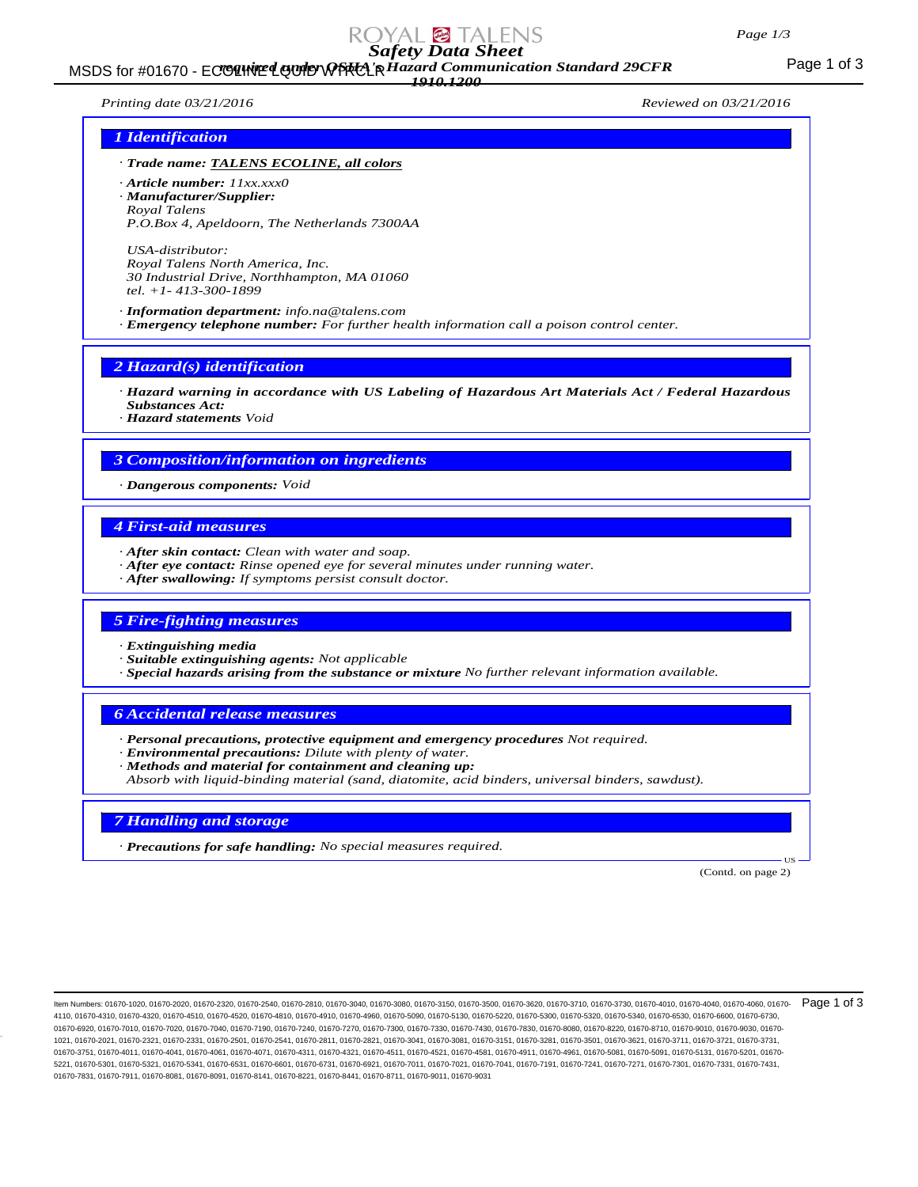#### *Page 1/3*

# *Safety Data Sheet*

#### MSDS for #01670 - ECOLINE LOUID WPRCL R Hazard Communication Standard 29CFR<br>MSDS for #01670 - ECOLINE LOUID WPRCL R Hazard Communication Standard 29CFR *1910.1200*

*Printing date 03/21/2016 Reviewed on 03/21/2016*

#### *1 Identification*

- *· Trade name: TALENS ECOLINE, all colors*
- *· Article number: 11xx.xxx0 · Manufacturer/Supplier: Royal Talens P.O.Box 4, Apeldoorn, The Netherlands 7300AA*

*USA-distributor: Royal Talens North America, Inc. 30 Industrial Drive, Northhampton, MA 01060 tel. +1- 413-300-1899*

*· Information department: info.na@talens.com · Emergency telephone number: For further health information call a poison control center.*

*2 Hazard(s) identification*

*· Hazard warning in accordance with US Labeling of Hazardous Art Materials Act / Federal Hazardous Substances Act:*

*· Hazard statements Void*

### *3 Composition/information on ingredients*

*· Dangerous components: Void*

#### *4 First-aid measures*

- *· After skin contact: Clean with water and soap.*
- *· After eye contact: Rinse opened eye for several minutes under running water.*
- *· After swallowing: If symptoms persist consult doctor.*

#### *5 Fire-fighting measures*

- *· Extinguishing media*
- *· Suitable extinguishing agents: Not applicable*
- *· Special hazards arising from the substance or mixture No further relevant information available.*

#### *6 Accidental release measures*

- *· Personal precautions, protective equipment and emergency procedures Not required.*
- *· Environmental precautions: Dilute with plenty of water.*
- *· Methods and material for containment and cleaning up:*
- *Absorb with liquid-binding material (sand, diatomite, acid binders, universal binders, sawdust).*

### *7 Handling and storage*

*· Precautions for safe handling: No special measures required.*

(Contd. on page 2)

US

ltem Numbers: 01670-1020, 01670-2020, 01670-2320, 01670-2540, 01670-2810, 01670-3040, 01670-3150, 01670-3500, 01670-3620, 01670-3710, 01670-3730, 01670-4010, 01670-4040, 01670-4040, 01670-4060, 01670-006, 01670-4010, 01670 4110, 01670-4310, 01670-4320, 01670-4510, 01670-4520, 01670-4810, 01670-4910, 01670-4960, 01670-5090, 01670-5130, 01670-5220, 01670-5300, 01670-5320, 01670-5340, 01670-6530, 01670-6600, 01670-6730, 01670-6920, 01670-7010, 01670-7020, 01670-7040, 01670-7190, 01670-7240, 01670-7270, 01670-7300, 01670-7330, 01670-7430, 01670-7830, 01670-8080, 01670-8220, 01670-8710, 01670-9010, 01670-9030, 01670- 1021, 01670-2021, 01670-2321, 01670-2331, 01670-2501, 01670-2541, 01670-2811, 01670-2821, 01670-3041, 01670-3081, 01670-3151, 01670-3281, 01670-3501, 01670-3621, 01670-3711, 01670-3721, 01670-3731, 01670-3751, 01670-4011, 01670-4041, 01670-4061, 01670-4071, 01670-4311, 01670-4321, 01670-4511, 01670-4521, 01670-4581, 01670-4911, 01670-4961, 01670-5081, 01670-5091, 01670-5131, 01670-5201, 01670- 5221, 01670-5301, 01670-5321, 01670-5341, 01670-6531, 01670-6601, 01670-6731, 01670-6921, 01670-7011, 01670-7021, 01670-7041, 01670-7191, 01670-7241, 01670-7271, 01670-7301, 01670-7331, 01670-7431, 01670-7831, 01670-7911, 01670-8081, 01670-8091, 01670-8141, 01670-8221, 01670-8441, 01670-8711, 01670-9011, 01670-9031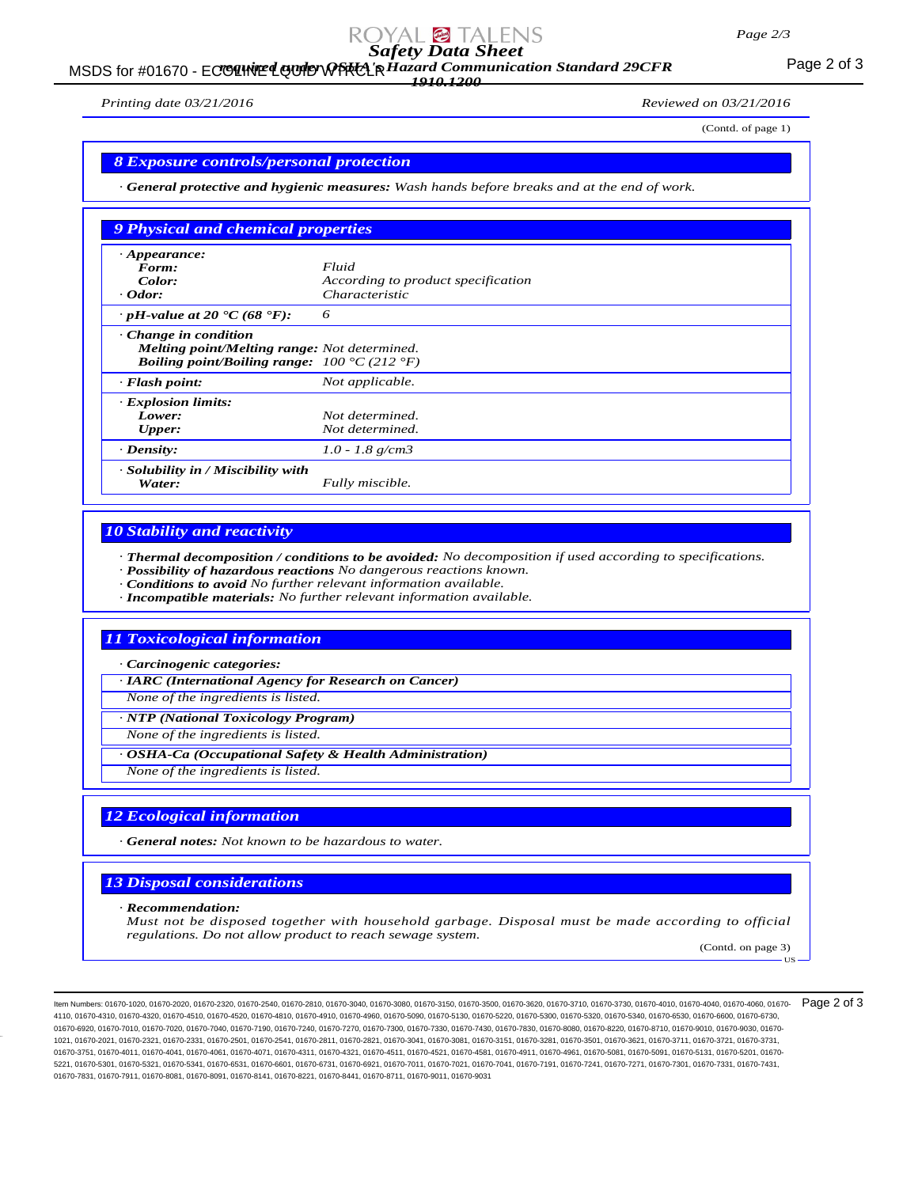## *Safety Data Sheet*

#### MSDS for #01670 - ECOLINE LOUID WPRCL R Hazard Communication Standard 29CFR<br>MSDS for #01670 - ECOLINE LOUID WPRCL R Hazard Communication Standard 29CFR *1910.1200*

*Printing date 03/21/2016 Reviewed on 03/21/2016*

(Contd. of page 1)

#### *8 Exposure controls/personal protection*

*· General protective and hygienic measures: Wash hands before breaks and at the end of work.*

| 9 Physical and chemical properties                                                                                                 |                                    |
|------------------------------------------------------------------------------------------------------------------------------------|------------------------------------|
| $\cdot$ Appearance:                                                                                                                |                                    |
| Form:                                                                                                                              | Fluid                              |
| Color:                                                                                                                             | According to product specification |
| $\cdot$ Odor:                                                                                                                      | <i>Characteristic</i>              |
| $\cdot$ pH-value at 20 $\cdot$ C (68 $\cdot$ F):                                                                                   | 6                                  |
| $\cdot$ Change in condition<br>Melting point/Melting range: Not determined.<br><b>Boiling point/Boiling range:</b> 100 °C (212 °F) |                                    |
| $\cdot$ Flash point:                                                                                                               | Not applicable.                    |
| · Explosion limits:                                                                                                                |                                    |
| Lower:                                                                                                                             | Not determined.                    |
| <b>Upper:</b>                                                                                                                      | Not determined.                    |
| $\cdot$ Density:                                                                                                                   | $1.0 - 1.8$ g/cm3                  |
| · Solubility in / Miscibility with<br>Water:                                                                                       | Fully miscible.                    |

#### *10 Stability and reactivity*

*· Thermal decomposition / conditions to be avoided: No decomposition if used according to specifications.*

- *· Possibility of hazardous reactions No dangerous reactions known.*
- *· Conditions to avoid No further relevant information available.*
- *· Incompatible materials: No further relevant information available.*

#### *11 Toxicological information*

*· Carcinogenic categories:*

*· IARC (International Agency for Research on Cancer)*

*None of the ingredients is listed.*

*· NTP (National Toxicology Program)*

*None of the ingredients is listed.*

*· OSHA-Ca (Occupational Safety & Health Administration)*

*None of the ingredients is listed.*

#### *12 Ecological information*

*· General notes: Not known to be hazardous to water.*

#### *13 Disposal considerations*

*· Recommendation:*

*Must not be disposed together with household garbage. Disposal must be made according to official regulations. Do not allow product to reach sewage system.*

(Contd. on page 3) US

ltem Numbers: 01670-1020, 01670-2020, 01670-2320, 01670-2540, 01670-2810, 01670-3040, 01670-3150, 01670-3500, 01670-3620, 01670-3710, 01670-3730, 01670-4010, 01670-4040, 01670-4000, 01670-4000, 01670-4010, 01670-4010, 0167 4110, 01670-4310, 01670-4320, 01670-4510, 01670-4520, 01670-4810, 01670-4910, 01670-4960, 01670-5090, 01670-5130, 01670-5220, 01670-5300, 01670-5320, 01670-5340, 01670-6530, 01670-6600, 01670-6730, 01670-6920, 01670-7010, 01670-7020, 01670-7040, 01670-7190, 01670-7240, 01670-7270, 01670-7300, 01670-7330, 01670-7430, 01670-7830, 01670-8080, 01670-8220, 01670-8710, 01670-9010, 01670-9030, 01670- 1021, 01670-2021, 01670-2321, 01670-2331, 01670-2501, 01670-2541, 01670-2811, 01670-2821, 01670-3041, 01670-3081, 01670-3151, 01670-3281, 01670-3501, 01670-3621, 01670-3711, 01670-3721, 01670-3731, 01670-3751, 01670-4011, 01670-4041, 01670-4061, 01670-4071, 01670-4311, 01670-4321, 01670-4511, 01670-4521, 01670-4581, 01670-4911, 01670-4961, 01670-5081, 01670-5091, 01670-5131, 01670-5201, 01670- 5221, 01670-5301, 01670-5321, 01670-5341, 01670-6531, 01670-6601, 01670-6731, 01670-6921, 01670-7011, 01670-7021, 01670-7041, 01670-7191, 01670-7241, 01670-7271, 01670-7301, 01670-7331, 01670-7431, 01670-7831, 01670-7911, 01670-8081, 01670-8091, 01670-8141, 01670-8221, 01670-8441, 01670-8711, 01670-9011, 01670-9031